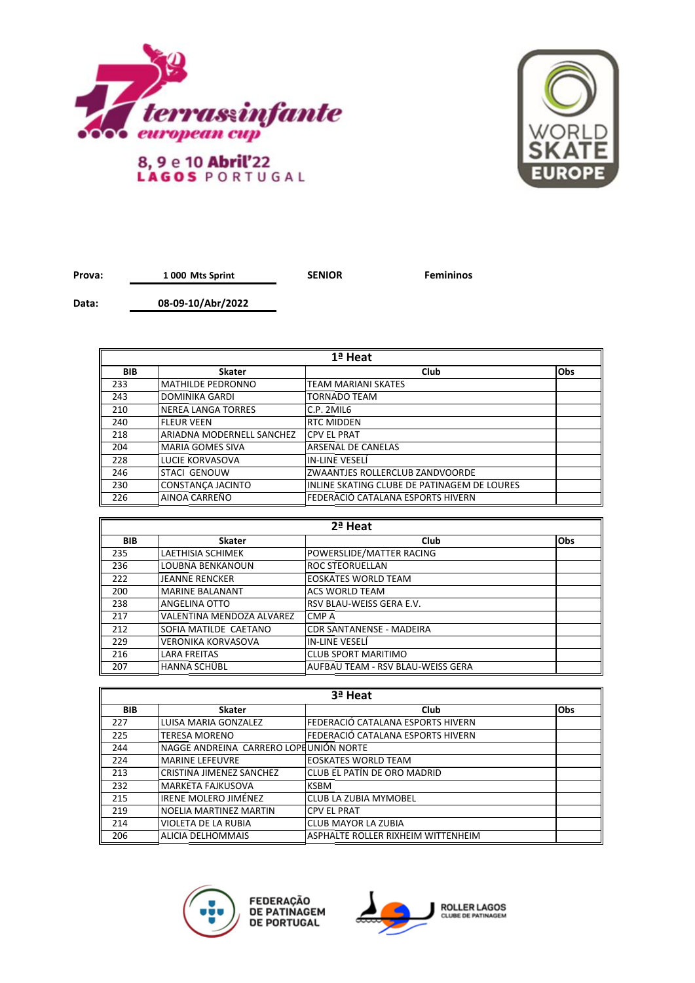



**Prova:** 1 000 Mts Sprint **SENIOR Femininos** 

**Data: 08-09-10/Abr/2022**

| 1ª Heat    |                           |                                             |     |
|------------|---------------------------|---------------------------------------------|-----|
| <b>BIB</b> | <b>Skater</b>             | Club                                        | Obs |
| 233        | IMATHILDE PEDRONNO        | <b>TEAM MARIANI SKATES</b>                  |     |
| 243        | <b>DOMINIKA GARDI</b>     | <b>TORNADO TEAM</b>                         |     |
| 210        | INEREA LANGA TORRES       | C.P. 2MIL6                                  |     |
| 240        | <b>IFLEUR VEEN</b>        | <b>RTC MIDDEN</b>                           |     |
| 218        | ARIADNA MODERNELL SANCHEZ | <b>CPV EL PRAT</b>                          |     |
| 204        | <b>MARIA GOMES SIVA</b>   | ARSENAL DE CANELAS                          |     |
| 228        | LUCIE KORVASOVA           | IN-LINE VESELÍ                              |     |
| 246        | <b>STACI GENOUW</b>       | ZWAANTJES ROLLERCLUB ZANDVOORDE             |     |
| 230        | CONSTANCA JACINTO         | INLINE SKATING CLUBE DE PATINAGEM DE LOURES |     |
| 226        | AINOA CARREÑO             | FEDERACIÓ CATALANA ESPORTS HIVERN           |     |

| 2ª Heat    |                           |                                   |            |
|------------|---------------------------|-----------------------------------|------------|
| <b>BIB</b> | <b>Skater</b>             | Club                              | <b>Obs</b> |
| 235        | LAETHISIA SCHIMEK         | POWERSLIDE/MATTER RACING          |            |
| 236        | <b>LOUBNA BENKANOUN</b>   | ROC STEORUELLAN                   |            |
| 222        | <b>JEANNE RENCKER</b>     | <b>EOSKATES WORLD TEAM</b>        |            |
| 200        | <b>MARINE BALANANT</b>    | <b>ACS WORLD TEAM</b>             |            |
| 238        | ANGELINA OTTO             | RSV BLAU-WEISS GERA E.V.          |            |
| 217        | VALENTINA MENDOZA ALVAREZ | CMP A                             |            |
| 212        | SOFIA MATILDE CAETANO     | <b>CDR SANTANENSE - MADEIRA</b>   |            |
| 229        | <b>VERONIKA KORVASOVA</b> | IN-LINE VESELÍ                    |            |
| 216        | <b>LARA FREITAS</b>       | <b>CLUB SPORT MARITIMO</b>        |            |
| 207        | HANNA SCHÜBL              | AUFBAU TEAM - RSV BLAU-WEISS GERA |            |

| 3ª Heat    |                                        |                                    |     |
|------------|----------------------------------------|------------------------------------|-----|
| <b>BIB</b> | <b>Skater</b>                          | Club                               | Obs |
| 227        | LUISA MARIA GONZALEZ                   | FEDERACIÓ CATALANA ESPORTS HIVERN  |     |
| 225        | TERESA MORENO                          | lFEDERACIÓ CATALANA ESPORTS HIVERN |     |
| 244        | NAGGE ANDREINA CARRERO LOPEUNIÓN NORTE |                                    |     |
| 224        | <b>MARINE LEFEUVRE</b>                 | <b>EOSKATES WORLD TEAM</b>         |     |
| 213        | CRISTINA JIMENEZ SANCHEZ               | lCLUB EL PATÍN DE ORO MADRID       |     |
| 232        | <b>MARKETA FAJKUSOVA</b>               | <b>KSBM</b>                        |     |
| 215        | IRENE MOLERO JIMÉNEZ                   | <b>CLUB LA ZUBIA MYMOBEL</b>       |     |
| 219        | NOELIA MARTINEZ MARTIN                 | <b>CPV EL PRAT</b>                 |     |
| 214        | VIOLETA DE LA RUBIA                    | <b>CLUB MAYOR LA ZUBIA</b>         |     |
| 206        | <b>ALICIA DELHOMMAIS</b>               | ASPHALTE ROLLER RIXHEIM WITTENHEIM |     |



FEDERAÇÃO<br>DE PATINAGEM<br>DE PORTUGAL